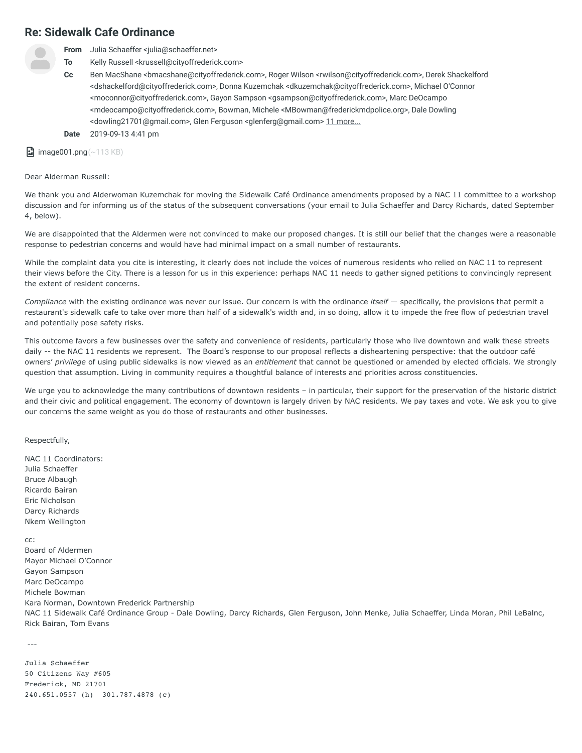## **Re: Sidewalk Cafe Ordinance**



**From** Julia Schaeffer <julia@schaeffer.net>

**To** Kelly Russell <krussell@cityoffrederick.com>

**Cc** Ben MacShane <bmacshane@cityoffrederick.com>, Roger Wilson <rwilson@cityoffrederick.com>, Derek Shackelford <dshackelford@cityoffrederick.com>, Donna Kuzemchak <dkuzemchak@cityoffrederick.com>, Michael O'Connor <moconnor@cityoffrederick.com>, Gayon Sampson <gsampson@cityoffrederick.com>, Marc DeOcampo <mdeocampo@cityoffrederick.com>, Bowman, Michele <MBowman@frederickmdpolice.org>, Dale Dowling <dowling21701@gmail.com>, Glen Ferguson <glenferg@gmail.com> [11 more...](https://mail.hover.com/?_task=mail&_safe=1&_uid=28866&_mbox=Sent%20Items&_action=print&_extwin=1#more)

**Date** 2019-09-13 4:41 pm

 $\Box$  image001.png (~113 KB)

Dear Alderman Russell:

We thank you and Alderwoman Kuzemchak for moving the Sidewalk Café Ordinance amendments proposed by a NAC 11 committee to a workshop discussion and for informing us of the status of the subsequent conversations (your email to Julia Schaeffer and Darcy Richards, dated September 4, below).

We are disappointed that the Aldermen were not convinced to make our proposed changes. It is still our belief that the changes were a reasonable response to pedestrian concerns and would have had minimal impact on a small number of restaurants.

While the complaint data you cite is interesting, it clearly does not include the voices of numerous residents who relied on NAC 11 to represent their views before the City. There is a lesson for us in this experience: perhaps NAC 11 needs to gather signed petitions to convincingly represent the extent of resident concerns.

*Compliance* with the existing ordinance was never our issue. Our concern is with the ordinance *itself* — specifically, the provisions that permit a restaurant's sidewalk cafe to take over more than half of a sidewalk's width and, in so doing, allow it to impede the free flow of pedestrian travel and potentially pose safety risks.

This outcome favors a few businesses over the safety and convenience of residents, particularly those who live downtown and walk these streets daily -- the NAC 11 residents we represent. The Board's response to our proposal reflects a disheartening perspective: that the outdoor café owners' *privilege* of using public sidewalks is now viewed as an *entitlement* that cannot be questioned or amended by elected officials. We strongly question that assumption. Living in community requires a thoughtful balance of interests and priorities across constituencies.

We urge you to acknowledge the many contributions of downtown residents - in particular, their support for the preservation of the historic district and their civic and political engagement. The economy of downtown is largely driven by NAC residents. We pay taxes and vote. We ask you to give our concerns the same weight as you do those of restaurants and other businesses.

Respectfully,

NAC 11 Coordinators: Julia Schaeffer Bruce Albaugh Ricardo Bairan Eric Nicholson Darcy Richards Nkem Wellington

cc:

Board of Aldermen Mayor Michael O'Connor Gayon Sampson Marc DeOcampo Michele Bowman Kara Norman, Downtown Frederick Partnership NAC 11 Sidewalk Café Ordinance Group - Dale Dowling, Darcy Richards, Glen Ferguson, John Menke, Julia Schaeffer, Linda Moran, Phil LeBalnc, Rick Bairan, Tom Evans

---

Julia Schaeffer 50 Citizens Way #605 Frederick, MD 21701 240.651.0557 (h) 301.787.4878 (c)